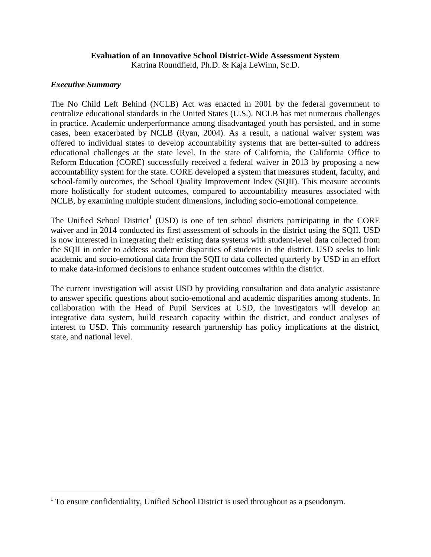# **Evaluation of an Innovative School District-Wide Assessment System**

Katrina Roundfield, Ph.D. & Kaja LeWinn, Sc.D.

## *Executive Summary*

 $\overline{\phantom{a}}$ 

The No Child Left Behind (NCLB) Act was enacted in 2001 by the federal government to centralize educational standards in the United States (U.S.). NCLB has met numerous challenges in practice. Academic underperformance among disadvantaged youth has persisted, and in some cases, been exacerbated by NCLB (Ryan, 2004). As a result, a national waiver system was offered to individual states to develop accountability systems that are better-suited to address educational challenges at the state level. In the state of California, the California Office to Reform Education (CORE) successfully received a federal waiver in 2013 by proposing a new accountability system for the state. CORE developed a system that measures student, faculty, and school-family outcomes, the School Quality Improvement Index (SQII). This measure accounts more holistically for student outcomes, compared to accountability measures associated with NCLB, by examining multiple student dimensions, including socio-emotional competence.

The Unified School District<sup>1</sup> (USD) is one of ten school districts participating in the CORE waiver and in 2014 conducted its first assessment of schools in the district using the SQII. USD is now interested in integrating their existing data systems with student-level data collected from the SQII in order to address academic disparities of students in the district. USD seeks to link academic and socio-emotional data from the SQII to data collected quarterly by USD in an effort to make data-informed decisions to enhance student outcomes within the district.

The current investigation will assist USD by providing consultation and data analytic assistance to answer specific questions about socio-emotional and academic disparities among students. In collaboration with the Head of Pupil Services at USD, the investigators will develop an integrative data system, build research capacity within the district, and conduct analyses of interest to USD. This community research partnership has policy implications at the district, state, and national level.

<sup>&</sup>lt;sup>1</sup> To ensure confidentiality, Unified School District is used throughout as a pseudonym.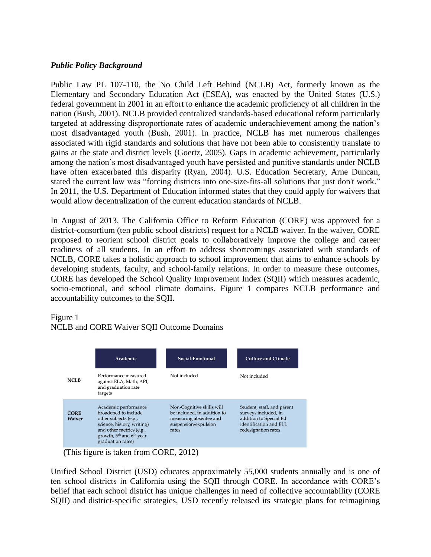## *Public Policy Background*

Public Law PL 107-110, the No Child Left Behind (NCLB) Act, formerly known as the Elementary and Secondary Education Act (ESEA), was enacted by the United States (U.S.) federal government in 2001 in an effort to enhance the academic proficiency of all children in the nation (Bush, 2001). NCLB provided centralized standards-based educational reform particularly targeted at addressing disproportionate rates of academic underachievement among the nation's most disadvantaged youth (Bush, 2001). In practice, NCLB has met numerous challenges associated with rigid standards and solutions that have not been able to consistently translate to gains at the state and district levels (Goertz, 2005). Gaps in academic achievement, particularly among the nation's most disadvantaged youth have persisted and punitive standards under NCLB have often exacerbated this disparity (Ryan, 2004). U.S. Education Secretary, Arne Duncan, stated the current law was "forcing districts into one-size-fits-all solutions that just don't work." In 2011, the U.S. Department of Education informed states that they could apply for waivers that would allow decentralization of the current education standards of NCLB.

In August of 2013, The California Office to Reform Education (CORE) was approved for a district-consortium (ten public school districts) request for a NCLB waiver. In the waiver, CORE proposed to reorient school district goals to collaboratively improve the college and career readiness of all students. In an effort to address shortcomings associated with standards of NCLB, CORE takes a holistic approach to school improvement that aims to enhance schools by developing students, faculty, and school-family relations. In order to measure these outcomes, CORE has developed the School Quality Improvement Index (SQII) which measures academic, socio-emotional, and school climate domains. Figure 1 compares NCLB performance and accountability outcomes to the SQII.

## Figure 1

## NCLB and CORE Waiver SQII Outcome Domains

|                              | Academic                                                                                                                                                                             | Social-Emotional                                                                                                    | <b>Culture and Climate</b>                                                                                                    |
|------------------------------|--------------------------------------------------------------------------------------------------------------------------------------------------------------------------------------|---------------------------------------------------------------------------------------------------------------------|-------------------------------------------------------------------------------------------------------------------------------|
| <b>NCLB</b>                  | Performance measured<br>against ELA, Math, API,<br>and graduation rate<br>targets                                                                                                    | Not included                                                                                                        | Not included                                                                                                                  |
| <b>CORE</b><br><b>Waiver</b> | Academic performance<br>broadened to include<br>other subjects (e.g.,<br>science, history, writing)<br>and other metrics (e.g.,<br>growth, $5th$ and $6th$ year<br>graduation rates) | Non-Cognitive skills will<br>be included, in addition to<br>measuring absentee and<br>suspension/expulsion<br>rates | Student, staff, and parent<br>surveys included, in<br>addition to Special Ed<br>identification and ELL<br>redesignation rates |

(This figure is taken from CORE, 2012)

Unified School District (USD) educates approximately 55,000 students annually and is one of ten school districts in California using the SQII through CORE. In accordance with CORE's belief that each school district has unique challenges in need of collective accountability (CORE SQII) and district-specific strategies, USD recently released its strategic plans for reimagining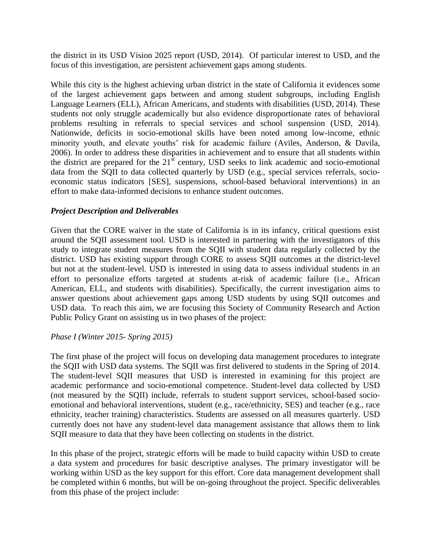the district in its USD Vision 2025 report (USD, 2014). Of particular interest to USD, and the focus of this investigation, are persistent achievement gaps among students.

While this city is the highest achieving urban district in the state of California it evidences some of the largest achievement gaps between and among student subgroups, including English Language Learners (ELL), African Americans, and students with disabilities (USD, 2014). These students not only struggle academically but also evidence disproportionate rates of behavioral problems resulting in referrals to special services and school suspension (USD, 2014). Nationwide, deficits in socio-emotional skills have been noted among low-income, ethnic minority youth, and elevate youths' risk for academic failure (Aviles, Anderson, & Davila, 2006). In order to address these disparities in achievement and to ensure that all students within the district are prepared for the  $21<sup>st</sup>$  century, USD seeks to link academic and socio-emotional data from the SQII to data collected quarterly by USD (e.g., special services referrals, socioeconomic status indicators [SES], suspensions, school-based behavioral interventions) in an effort to make data-informed decisions to enhance student outcomes.

# *Project Description and Deliverables*

Given that the CORE waiver in the state of California is in its infancy, critical questions exist around the SQII assessment tool. USD is interested in partnering with the investigators of this study to integrate student measures from the SQII with student data regularly collected by the district. USD has existing support through CORE to assess SQII outcomes at the district-level but not at the student-level. USD is interested in using data to assess individual students in an effort to personalize efforts targeted at students at-risk of academic failure (i.e., African American, ELL, and students with disabilities). Specifically, the current investigation aims to answer questions about achievement gaps among USD students by using SQII outcomes and USD data. To reach this aim, we are focusing this Society of Community Research and Action Public Policy Grant on assisting us in two phases of the project:

## *Phase I (Winter 2015- Spring 2015)*

The first phase of the project will focus on developing data management procedures to integrate the SQII with USD data systems. The SQII was first delivered to students in the Spring of 2014. The student-level SQII measures that USD is interested in examining for this project are academic performance and socio-emotional competence. Student-level data collected by USD (not measured by the SQII) include, referrals to student support services, school-based socioemotional and behavioral interventions, student (e.g., race/ethnicity, SES) and teacher (e.g., race ethnicity, teacher training) characteristics. Students are assessed on all measures quarterly. USD currently does not have any student-level data management assistance that allows them to link SQII measure to data that they have been collecting on students in the district.

In this phase of the project, strategic efforts will be made to build capacity within USD to create a data system and procedures for basic descriptive analyses. The primary investigator will be working within USD as the key support for this effort. Core data management development shall be completed within 6 months, but will be on-going throughout the project. Specific deliverables from this phase of the project include: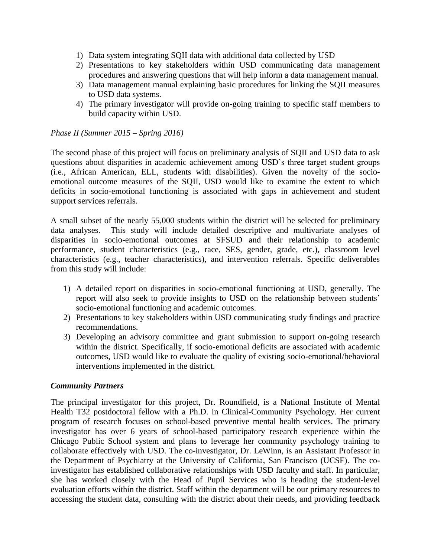- 1) Data system integrating SQII data with additional data collected by USD
- 2) Presentations to key stakeholders within USD communicating data management procedures and answering questions that will help inform a data management manual.
- 3) Data management manual explaining basic procedures for linking the SQII measures to USD data systems.
- 4) The primary investigator will provide on-going training to specific staff members to build capacity within USD.

## *Phase II (Summer 2015 – Spring 2016)*

The second phase of this project will focus on preliminary analysis of SQII and USD data to ask questions about disparities in academic achievement among USD's three target student groups (i.e., African American, ELL, students with disabilities). Given the novelty of the socioemotional outcome measures of the SQII, USD would like to examine the extent to which deficits in socio-emotional functioning is associated with gaps in achievement and student support services referrals.

A small subset of the nearly 55,000 students within the district will be selected for preliminary data analyses. This study will include detailed descriptive and multivariate analyses of disparities in socio-emotional outcomes at SFSUD and their relationship to academic performance, student characteristics (e.g., race, SES, gender, grade, etc.), classroom level characteristics (e.g., teacher characteristics), and intervention referrals. Specific deliverables from this study will include:

- 1) A detailed report on disparities in socio-emotional functioning at USD, generally. The report will also seek to provide insights to USD on the relationship between students' socio-emotional functioning and academic outcomes.
- 2) Presentations to key stakeholders within USD communicating study findings and practice recommendations.
- 3) Developing an advisory committee and grant submission to support on-going research within the district. Specifically, if socio-emotional deficits are associated with academic outcomes, USD would like to evaluate the quality of existing socio-emotional/behavioral interventions implemented in the district.

# *Community Partners*

The principal investigator for this project, Dr. Roundfield, is a National Institute of Mental Health T32 postdoctoral fellow with a Ph.D. in Clinical-Community Psychology. Her current program of research focuses on school-based preventive mental health services. The primary investigator has over 6 years of school-based participatory research experience within the Chicago Public School system and plans to leverage her community psychology training to collaborate effectively with USD. The co-investigator, Dr. LeWinn, is an Assistant Professor in the Department of Psychiatry at the University of California, San Francisco (UCSF). The coinvestigator has established collaborative relationships with USD faculty and staff. In particular, she has worked closely with the Head of Pupil Services who is heading the student-level evaluation efforts within the district. Staff within the department will be our primary resources to accessing the student data, consulting with the district about their needs, and providing feedback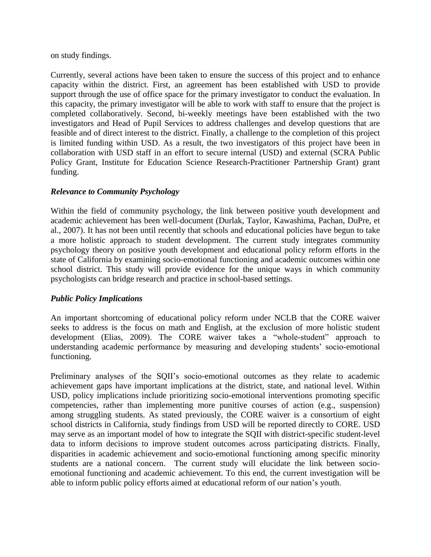on study findings.

Currently, several actions have been taken to ensure the success of this project and to enhance capacity within the district. First, an agreement has been established with USD to provide support through the use of office space for the primary investigator to conduct the evaluation. In this capacity, the primary investigator will be able to work with staff to ensure that the project is completed collaboratively. Second, bi-weekly meetings have been established with the two investigators and Head of Pupil Services to address challenges and develop questions that are feasible and of direct interest to the district. Finally, a challenge to the completion of this project is limited funding within USD. As a result, the two investigators of this project have been in collaboration with USD staff in an effort to secure internal (USD) and external (SCRA Public Policy Grant, Institute for Education Science Research-Practitioner Partnership Grant) grant funding.

# *Relevance to Community Psychology*

Within the field of community psychology, the link between positive youth development and academic achievement has been well-document (Durlak, Taylor, Kawashima, Pachan, DuPre, et al., 2007). It has not been until recently that schools and educational policies have begun to take a more holistic approach to student development. The current study integrates community psychology theory on positive youth development and educational policy reform efforts in the state of California by examining socio-emotional functioning and academic outcomes within one school district. This study will provide evidence for the unique ways in which community psychologists can bridge research and practice in school-based settings.

## *Public Policy Implications*

An important shortcoming of educational policy reform under NCLB that the CORE waiver seeks to address is the focus on math and English, at the exclusion of more holistic student development (Elias, 2009). The CORE waiver takes a "whole-student" approach to understanding academic performance by measuring and developing students' socio-emotional functioning.

Preliminary analyses of the SQII's socio-emotional outcomes as they relate to academic achievement gaps have important implications at the district, state, and national level. Within USD, policy implications include prioritizing socio-emotional interventions promoting specific competencies, rather than implementing more punitive courses of action (e.g., suspension) among struggling students. As stated previously, the CORE waiver is a consortium of eight school districts in California, study findings from USD will be reported directly to CORE. USD may serve as an important model of how to integrate the SQII with district-specific student-level data to inform decisions to improve student outcomes across participating districts. Finally, disparities in academic achievement and socio-emotional functioning among specific minority students are a national concern. The current study will elucidate the link between socioemotional functioning and academic achievement. To this end, the current investigation will be able to inform public policy efforts aimed at educational reform of our nation's youth.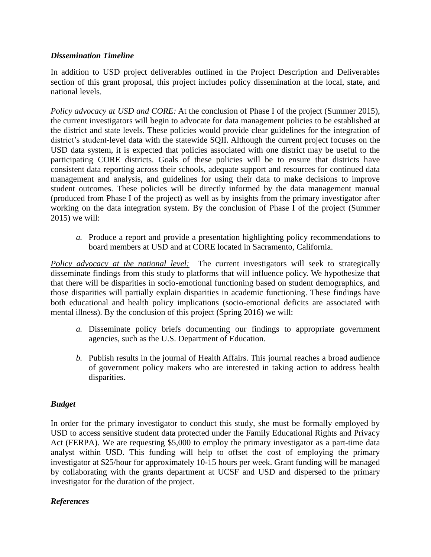## *Dissemination Timeline*

In addition to USD project deliverables outlined in the Project Description and Deliverables section of this grant proposal, this project includes policy dissemination at the local, state, and national levels.

*Policy advocacy at USD and CORE:* At the conclusion of Phase I of the project (Summer 2015), the current investigators will begin to advocate for data management policies to be established at the district and state levels. These policies would provide clear guidelines for the integration of district's student-level data with the statewide SQII. Although the current project focuses on the USD data system, it is expected that policies associated with one district may be useful to the participating CORE districts. Goals of these policies will be to ensure that districts have consistent data reporting across their schools, adequate support and resources for continued data management and analysis, and guidelines for using their data to make decisions to improve student outcomes. These policies will be directly informed by the data management manual (produced from Phase I of the project) as well as by insights from the primary investigator after working on the data integration system. By the conclusion of Phase I of the project (Summer 2015) we will:

*a.* Produce a report and provide a presentation highlighting policy recommendations to board members at USD and at CORE located in Sacramento, California.

*Policy advocacy at the national level:* The current investigators will seek to strategically disseminate findings from this study to platforms that will influence policy. We hypothesize that that there will be disparities in socio-emotional functioning based on student demographics, and those disparities will partially explain disparities in academic functioning. These findings have both educational and health policy implications (socio-emotional deficits are associated with mental illness). By the conclusion of this project (Spring 2016) we will:

- *a.* Disseminate policy briefs documenting our findings to appropriate government agencies, such as the U.S. Department of Education.
- *b.* Publish results in the journal of Health Affairs. This journal reaches a broad audience of government policy makers who are interested in taking action to address health disparities.

# *Budget*

In order for the primary investigator to conduct this study, she must be formally employed by USD to access sensitive student data protected under the Family Educational Rights and Privacy Act (FERPA). We are requesting \$5,000 to employ the primary investigator as a part-time data analyst within USD. This funding will help to offset the cost of employing the primary investigator at \$25/hour for approximately 10-15 hours per week. Grant funding will be managed by collaborating with the grants department at UCSF and USD and dispersed to the primary investigator for the duration of the project.

# *References*